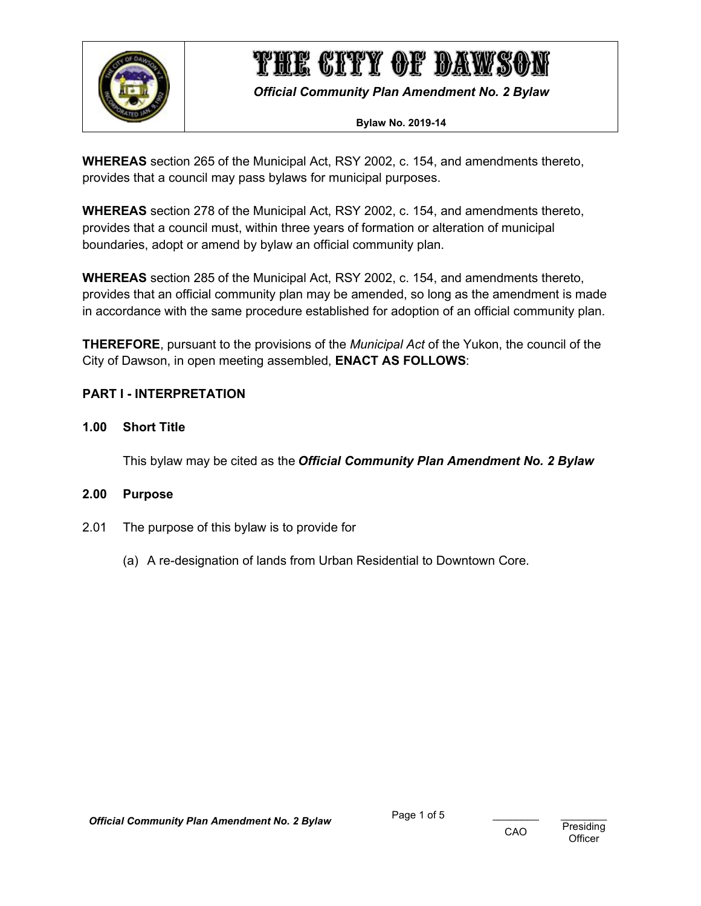

*Official Community Plan Amendment No. 2 Bylaw*

#### **Bylaw No. 2019-14**

**WHEREAS** section 265 of the Municipal Act, RSY 2002, c. 154, and amendments thereto, provides that a council may pass bylaws for municipal purposes.

**WHEREAS** section 278 of the Municipal Act, RSY 2002, c. 154, and amendments thereto, provides that a council must, within three years of formation or alteration of municipal boundaries, adopt or amend by bylaw an official community plan.

**WHEREAS** section 285 of the Municipal Act, RSY 2002, c. 154, and amendments thereto, provides that an official community plan may be amended, so long as the amendment is made in accordance with the same procedure established for adoption of an official community plan.

**THEREFORE**, pursuant to the provisions of the *Municipal Act* of the Yukon, the council of the City of Dawson, in open meeting assembled, **ENACT AS FOLLOWS**:

### <span id="page-0-0"></span>**PART I - INTERPRETATION**

### <span id="page-0-1"></span>**1.00 Short Title**

This bylaw may be cited as the *Official Community Plan Amendment No. 2 Bylaw*

### <span id="page-0-2"></span>**2.00 Purpose**

- 2.01 The purpose of this bylaw is to provide for
	- (a) A re-designation of lands from Urban Residential to Downtown Core.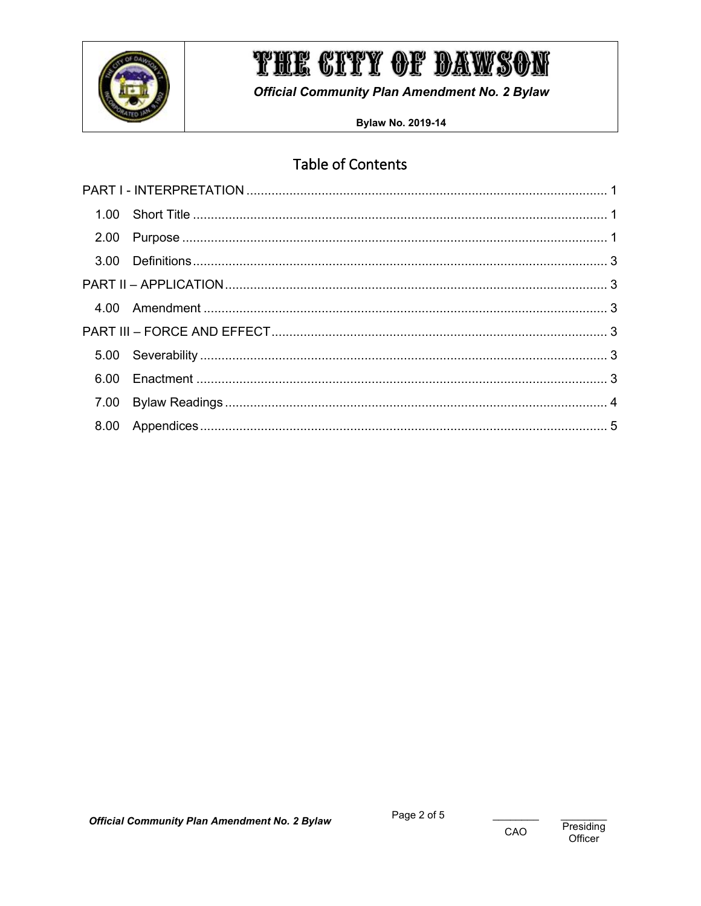

**Official Community Plan Amendment No. 2 Bylaw** 

**Bylaw No. 2019-14** 

# **Table of Contents**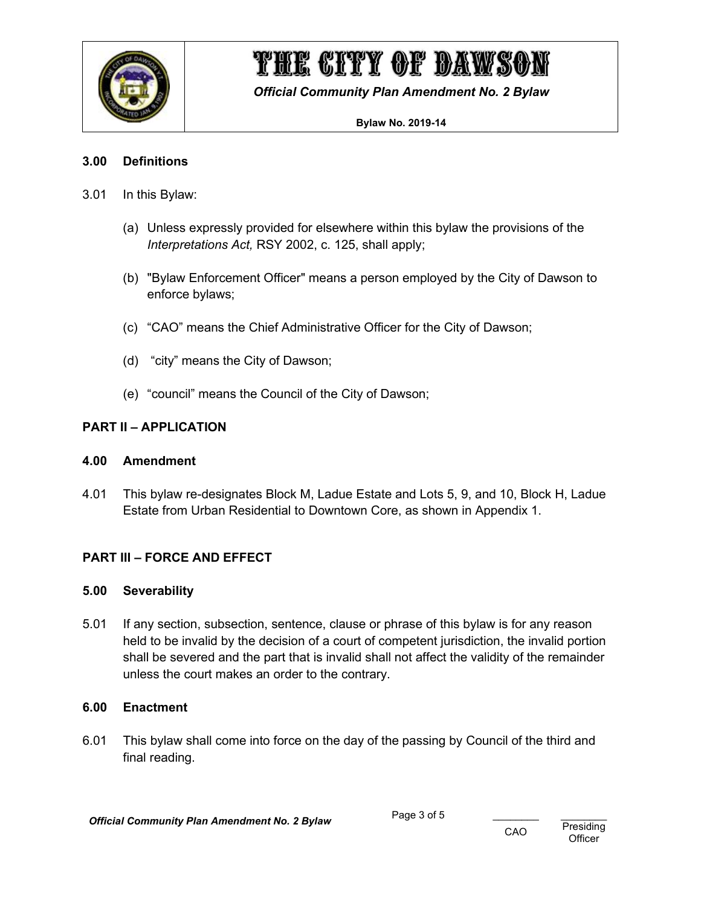

*Official Community Plan Amendment No. 2 Bylaw*

#### **Bylaw No. 2019-14**

### <span id="page-2-0"></span>**3.00 Definitions**

- 3.01 In this Bylaw:
	- (a) Unless expressly provided for elsewhere within this bylaw the provisions of the *Interpretations Act,* RSY 2002, c. 125, shall apply;
	- (b) "Bylaw Enforcement Officer" means a person employed by the City of Dawson to enforce bylaws;
	- (c) "CAO" means the Chief Administrative Officer for the City of Dawson;
	- (d) "city" means the City of Dawson;
	- (e) "council" means the Council of the City of Dawson;

### <span id="page-2-1"></span>**PART II – APPLICATION**

### <span id="page-2-2"></span>**4.00 Amendment**

4.01 This bylaw re-designates Block M, Ladue Estate and Lots 5, 9, and 10, Block H, Ladue Estate from Urban Residential to Downtown Core, as shown in Appendix 1.

## <span id="page-2-3"></span>**PART III – FORCE AND EFFECT**

### <span id="page-2-4"></span>**5.00 Severability**

5.01 If any section, subsection, sentence, clause or phrase of this bylaw is for any reason held to be invalid by the decision of a court of competent jurisdiction, the invalid portion shall be severed and the part that is invalid shall not affect the validity of the remainder unless the court makes an order to the contrary.

### <span id="page-2-5"></span>**6.00 Enactment**

6.01 This bylaw shall come into force on the day of the passing by Council of the third and final reading.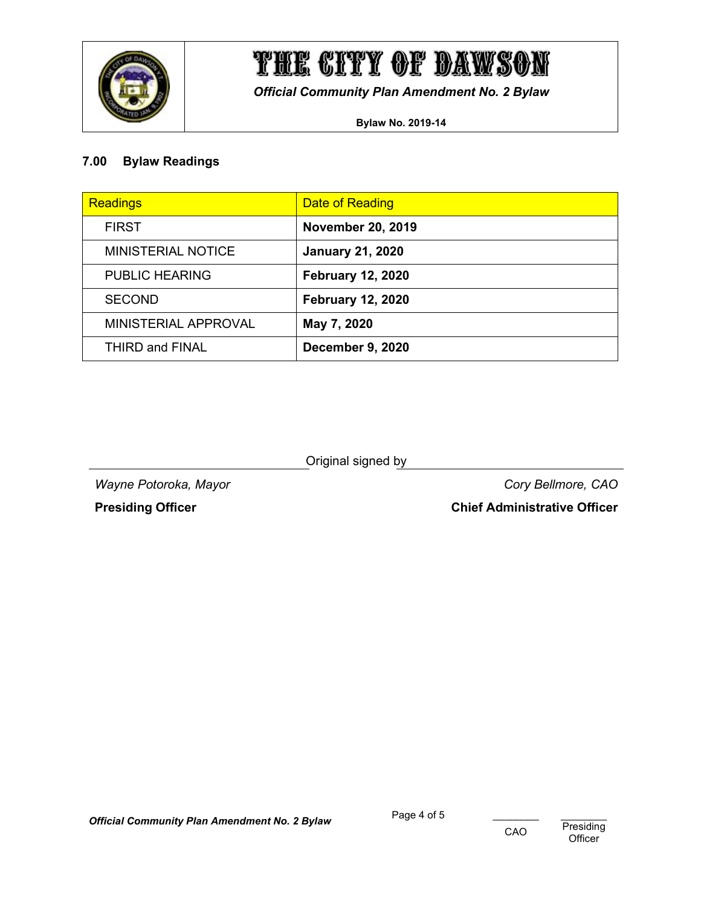

*Official Community Plan Amendment No. 2 Bylaw*

**Bylaw No. 2019-14**

# <span id="page-3-0"></span>**7.00 Bylaw Readings**

| <b>Readings</b>        | <b>Date of Reading</b>   |
|------------------------|--------------------------|
| <b>FIRST</b>           | <b>November 20, 2019</b> |
| MINISTERIAL NOTICE     | <b>January 21, 2020</b>  |
| <b>PUBLIC HEARING</b>  | <b>February 12, 2020</b> |
| <b>SECOND</b>          | <b>February 12, 2020</b> |
| MINISTERIAL APPROVAL   | May 7, 2020              |
| <b>THIRD and FINAL</b> | December 9, 2020         |

Original signed by

*Wayne Potoroka, Mayor Cory Bellmore, CAO*

**Presiding Officer Chief Administrative Officer**